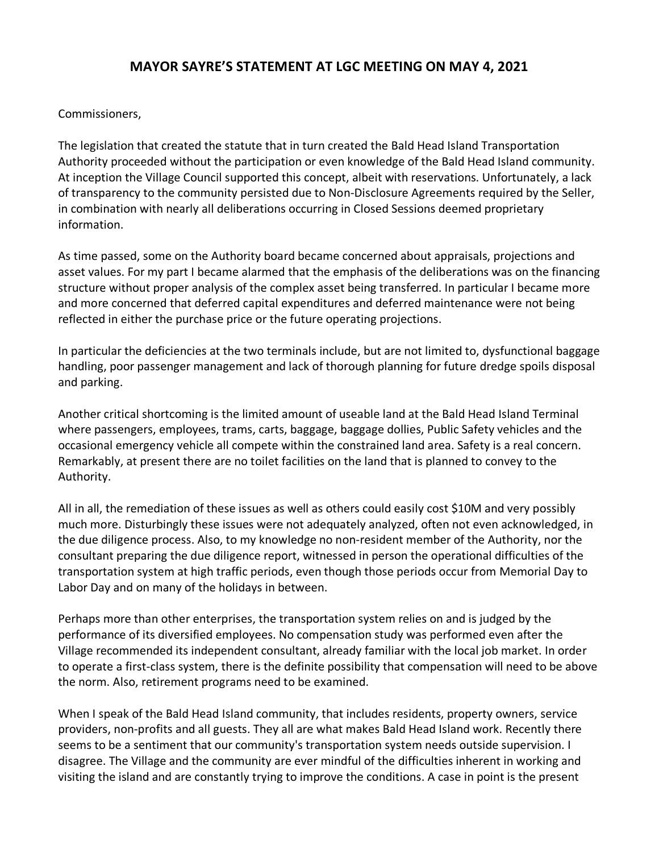## **MAYOR SAYRE'S STATEMENT AT LGC MEETING ON MAY 4, 2021**

## Commissioners,

The legislation that created the statute that in turn created the Bald Head Island Transportation Authority proceeded without the participation or even knowledge of the Bald Head Island community. At inception the Village Council supported this concept, albeit with reservations. Unfortunately, a lack of transparency to the community persisted due to Non-Disclosure Agreements required by the Seller, in combination with nearly all deliberations occurring in Closed Sessions deemed proprietary information.

As time passed, some on the Authority board became concerned about appraisals, projections and asset values. For my part I became alarmed that the emphasis of the deliberations was on the financing structure without proper analysis of the complex asset being transferred. In particular I became more and more concerned that deferred capital expenditures and deferred maintenance were not being reflected in either the purchase price or the future operating projections.

In particular the deficiencies at the two terminals include, but are not limited to, dysfunctional baggage handling, poor passenger management and lack of thorough planning for future dredge spoils disposal and parking.

Another critical shortcoming is the limited amount of useable land at the Bald Head Island Terminal where passengers, employees, trams, carts, baggage, baggage dollies, Public Safety vehicles and the occasional emergency vehicle all compete within the constrained land area. Safety is a real concern. Remarkably, at present there are no toilet facilities on the land that is planned to convey to the Authority.

All in all, the remediation of these issues as well as others could easily cost \$10M and very possibly much more. Disturbingly these issues were not adequately analyzed, often not even acknowledged, in the due diligence process. Also, to my knowledge no non-resident member of the Authority, nor the consultant preparing the due diligence report, witnessed in person the operational difficulties of the transportation system at high traffic periods, even though those periods occur from Memorial Day to Labor Day and on many of the holidays in between.

Perhaps more than other enterprises, the transportation system relies on and is judged by the performance of its diversified employees. No compensation study was performed even after the Village recommended its independent consultant, already familiar with the local job market. In order to operate a first-class system, there is the definite possibility that compensation will need to be above the norm. Also, retirement programs need to be examined.

When I speak of the Bald Head Island community, that includes residents, property owners, service providers, non-profits and all guests. They all are what makes Bald Head Island work. Recently there seems to be a sentiment that our community's transportation system needs outside supervision. I disagree. The Village and the community are ever mindful of the difficulties inherent in working and visiting the island and are constantly trying to improve the conditions. A case in point is the present